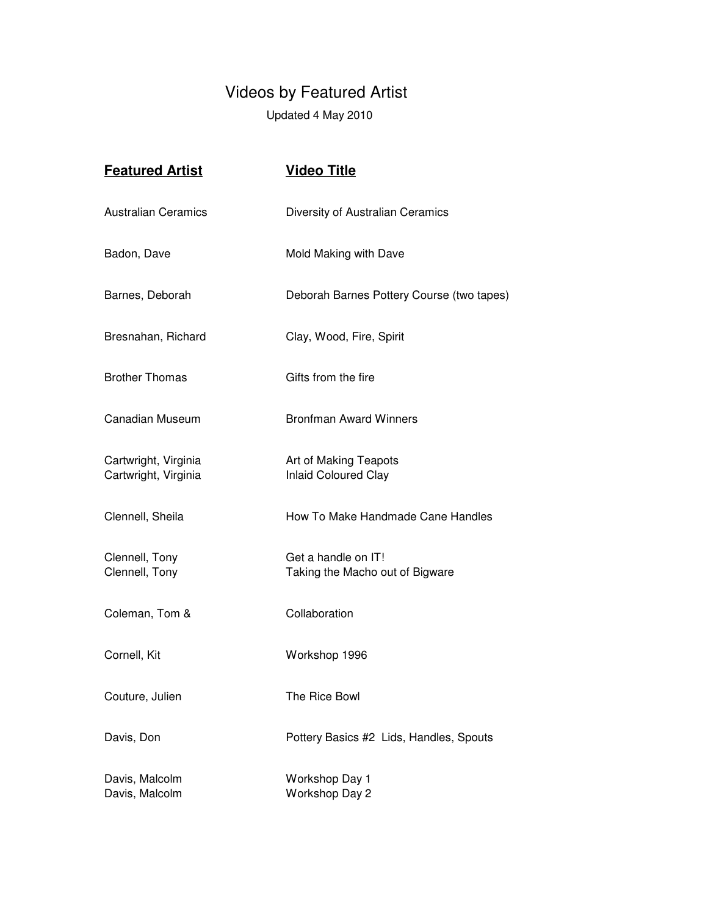## Videos by Featured Artist

Updated 4 May 2010

| <b>Featured Artist</b>                       | <b>Video Title</b>                                     |
|----------------------------------------------|--------------------------------------------------------|
| <b>Australian Ceramics</b>                   | Diversity of Australian Ceramics                       |
| Badon, Dave                                  | Mold Making with Dave                                  |
| Barnes, Deborah                              | Deborah Barnes Pottery Course (two tapes)              |
| Bresnahan, Richard                           | Clay, Wood, Fire, Spirit                               |
| <b>Brother Thomas</b>                        | Gifts from the fire                                    |
| Canadian Museum                              | <b>Bronfman Award Winners</b>                          |
| Cartwright, Virginia<br>Cartwright, Virginia | Art of Making Teapots<br><b>Inlaid Coloured Clay</b>   |
| Clennell, Sheila                             | How To Make Handmade Cane Handles                      |
| Clennell, Tony<br>Clennell, Tony             | Get a handle on IT!<br>Taking the Macho out of Bigware |
| Coleman, Tom &                               | Collaboration                                          |
| Cornell, Kit                                 | Workshop 1996                                          |
| Couture, Julien                              | The Rice Bowl                                          |
| Davis, Don                                   | Pottery Basics #2 Lids, Handles, Spouts                |
| Davis, Malcolm<br>Davis, Malcolm             | Workshop Day 1<br>Workshop Day 2                       |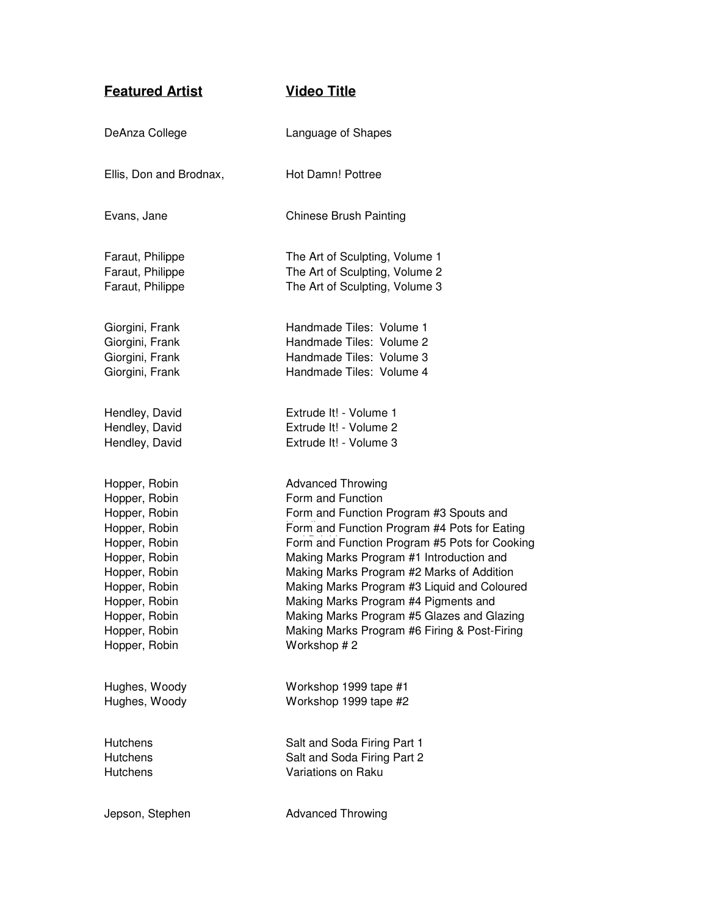| <b>Featured Artist</b>  | <b>Video Title</b>                            |
|-------------------------|-----------------------------------------------|
| DeAnza College          | Language of Shapes                            |
| Ellis, Don and Brodnax, | Hot Damn! Pottree                             |
| Evans, Jane             | <b>Chinese Brush Painting</b>                 |
| Faraut, Philippe        | The Art of Sculpting, Volume 1                |
| Faraut, Philippe        | The Art of Sculpting, Volume 2                |
| Faraut, Philippe        | The Art of Sculpting, Volume 3                |
| Giorgini, Frank         | Handmade Tiles: Volume 1                      |
| Giorgini, Frank         | Handmade Tiles: Volume 2                      |
| Giorgini, Frank         | Handmade Tiles: Volume 3                      |
| Giorgini, Frank         | Handmade Tiles: Volume 4                      |
| Hendley, David          | Extrude It! - Volume 1                        |
| Hendley, David          | Extrude It! - Volume 2                        |
| Hendley, David          | Extrude It! - Volume 3                        |
| Hopper, Robin           | <b>Advanced Throwing</b>                      |
| Hopper, Robin           | Form and Function                             |
| Hopper, Robin           | Form and Function Program #3 Spouts and       |
| Hopper, Robin           | Form and Function Program #4 Pots for Eating  |
| Hopper, Robin           | Form and Function Program #5 Pots for Cooking |
| Hopper, Robin           | Making Marks Program #1 Introduction and      |
| Hopper, Robin           | Making Marks Program #2 Marks of Addition     |
| Hopper, Robin           | Making Marks Program #3 Liquid and Coloured   |
| Hopper, Robin           | Making Marks Program #4 Pigments and          |
| Hopper, Robin           | Making Marks Program #5 Glazes and Glazing    |
| Hopper, Robin           | Making Marks Program #6 Firing & Post-Firing  |
| Hopper, Robin           | Workshop #2                                   |
| Hughes, Woody           | Workshop 1999 tape #1                         |
| Hughes, Woody           | Workshop 1999 tape #2                         |
| <b>Hutchens</b>         | Salt and Soda Firing Part 1                   |
| <b>Hutchens</b>         | Salt and Soda Firing Part 2                   |
| <b>Hutchens</b>         | Variations on Raku                            |
| Jepson, Stephen         | <b>Advanced Throwing</b>                      |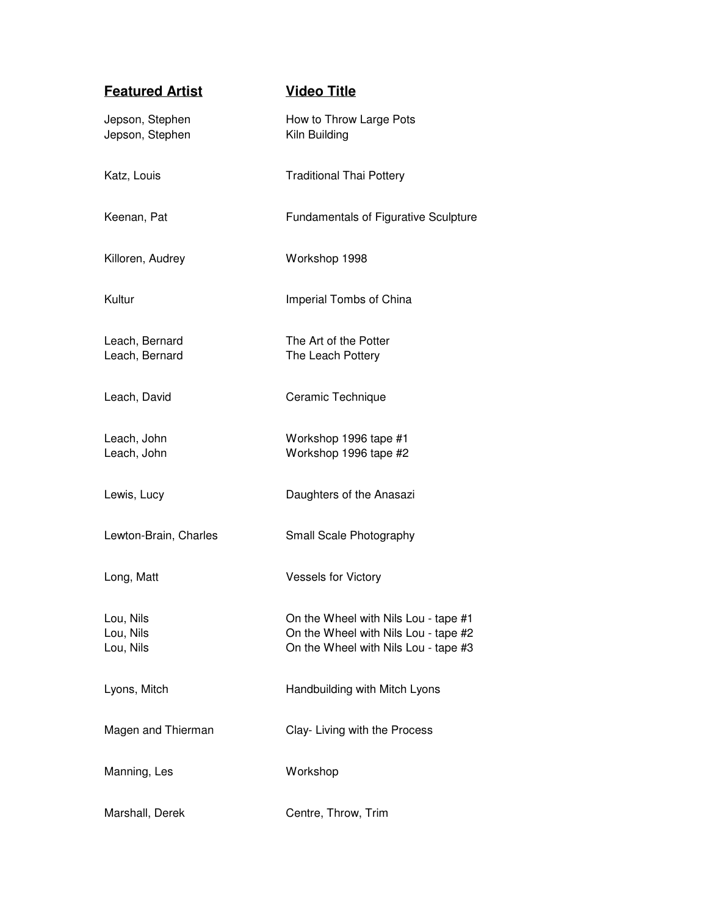| <b>Featured Artist</b>              | <b>Video Title</b>                                                                                                   |
|-------------------------------------|----------------------------------------------------------------------------------------------------------------------|
| Jepson, Stephen<br>Jepson, Stephen  | How to Throw Large Pots<br>Kiln Building                                                                             |
| Katz, Louis                         | <b>Traditional Thai Pottery</b>                                                                                      |
| Keenan, Pat                         | <b>Fundamentals of Figurative Sculpture</b>                                                                          |
| Killoren, Audrey                    | Workshop 1998                                                                                                        |
| Kultur                              | Imperial Tombs of China                                                                                              |
| Leach, Bernard<br>Leach, Bernard    | The Art of the Potter<br>The Leach Pottery                                                                           |
| Leach, David                        | Ceramic Technique                                                                                                    |
| Leach, John<br>Leach, John          | Workshop 1996 tape #1<br>Workshop 1996 tape #2                                                                       |
| Lewis, Lucy                         | Daughters of the Anasazi                                                                                             |
| Lewton-Brain, Charles               | Small Scale Photography                                                                                              |
| Long, Matt                          | <b>Vessels for Victory</b>                                                                                           |
| Lou, Nils<br>Lou, Nils<br>Lou, Nils | On the Wheel with Nils Lou - tape #1<br>On the Wheel with Nils Lou - tape #2<br>On the Wheel with Nils Lou - tape #3 |
| Lyons, Mitch                        | Handbuilding with Mitch Lyons                                                                                        |
| Magen and Thierman                  | Clay- Living with the Process                                                                                        |
| Manning, Les                        | Workshop                                                                                                             |
| Marshall, Derek                     | Centre, Throw, Trim                                                                                                  |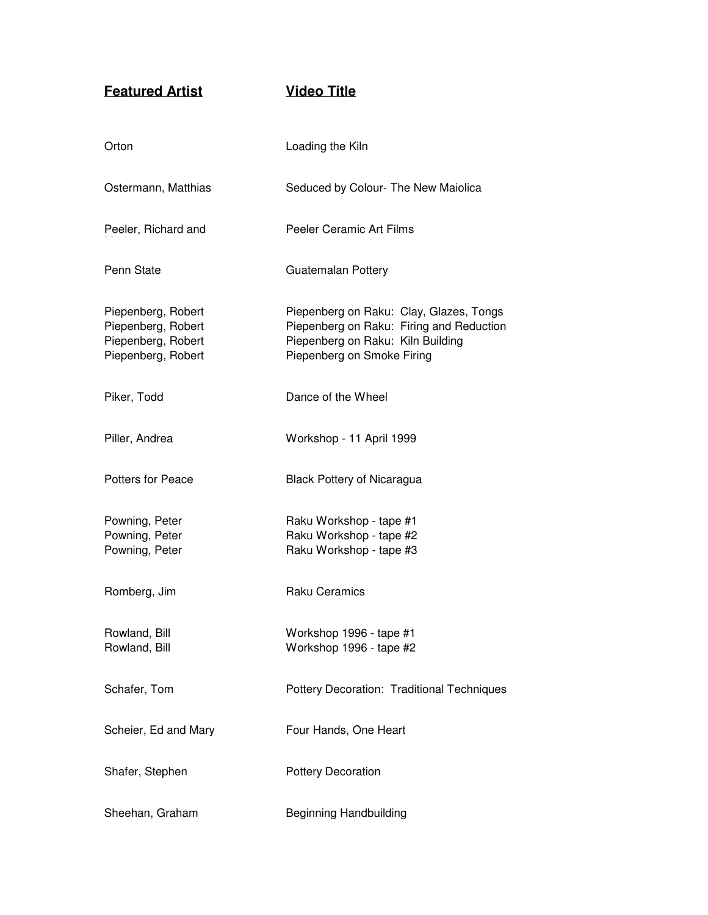**Featured Artist Video Title**

| Orton                                                                                | Loading the Kiln                                                                                                                                       |
|--------------------------------------------------------------------------------------|--------------------------------------------------------------------------------------------------------------------------------------------------------|
| Ostermann, Matthias                                                                  | Seduced by Colour- The New Maiolica                                                                                                                    |
| Peeler, Richard and                                                                  | Peeler Ceramic Art Films                                                                                                                               |
| Penn State                                                                           | Guatemalan Pottery                                                                                                                                     |
| Piepenberg, Robert<br>Piepenberg, Robert<br>Piepenberg, Robert<br>Piepenberg, Robert | Piepenberg on Raku: Clay, Glazes, Tongs<br>Piepenberg on Raku: Firing and Reduction<br>Piepenberg on Raku: Kiln Building<br>Piepenberg on Smoke Firing |
| Piker, Todd                                                                          | Dance of the Wheel                                                                                                                                     |
| Piller, Andrea                                                                       | Workshop - 11 April 1999                                                                                                                               |
| <b>Potters for Peace</b>                                                             | <b>Black Pottery of Nicaragua</b>                                                                                                                      |
| Powning, Peter<br>Powning, Peter<br>Powning, Peter                                   | Raku Workshop - tape #1<br>Raku Workshop - tape #2<br>Raku Workshop - tape #3                                                                          |
| Romberg, Jim                                                                         | <b>Raku Ceramics</b>                                                                                                                                   |
| Rowland, Bill<br>Rowland, Bill                                                       | Workshop 1996 - tape #1<br>Workshop 1996 - tape #2                                                                                                     |
| Schafer, Tom                                                                         | Pottery Decoration: Traditional Techniques                                                                                                             |
| Scheier, Ed and Mary                                                                 | Four Hands, One Heart                                                                                                                                  |
| Shafer, Stephen                                                                      | <b>Pottery Decoration</b>                                                                                                                              |
| Sheehan, Graham                                                                      | <b>Beginning Handbuilding</b>                                                                                                                          |